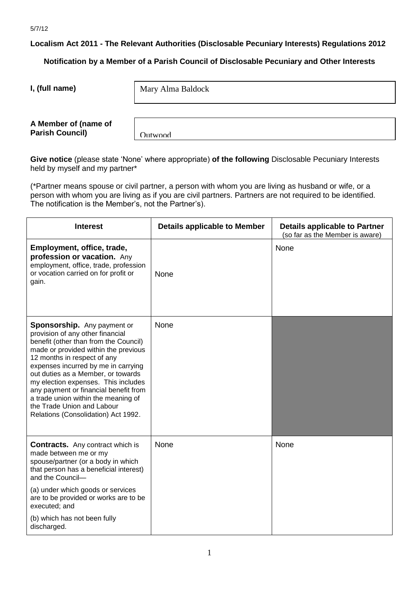**Localism Act 2011 - The Relevant Authorities (Disclosable Pecuniary Interests) Regulations 2012**

**Notification by a Member of a Parish Council of Disclosable Pecuniary and Other Interests**

**I, (full name)** 

Mary Alma Baldock

**A Member of (name of Parish Council)** 

**Outwood** 

**Give notice** (please state 'None' where appropriate) **of the following** Disclosable Pecuniary Interests held by myself and my partner\*

(\*Partner means spouse or civil partner, a person with whom you are living as husband or wife, or a person with whom you are living as if you are civil partners. Partners are not required to be identified. The notification is the Member's, not the Partner's).

| <b>Interest</b>                                                                                                                                                                                                                                                                                                                                                                                                                                                 | <b>Details applicable to Member</b> | <b>Details applicable to Partner</b><br>(so far as the Member is aware) |
|-----------------------------------------------------------------------------------------------------------------------------------------------------------------------------------------------------------------------------------------------------------------------------------------------------------------------------------------------------------------------------------------------------------------------------------------------------------------|-------------------------------------|-------------------------------------------------------------------------|
| Employment, office, trade,<br>profession or vacation. Any<br>employment, office, trade, profession<br>or vocation carried on for profit or<br>gain.                                                                                                                                                                                                                                                                                                             | None                                | None                                                                    |
| <b>Sponsorship.</b> Any payment or<br>provision of any other financial<br>benefit (other than from the Council)<br>made or provided within the previous<br>12 months in respect of any<br>expenses incurred by me in carrying<br>out duties as a Member, or towards<br>my election expenses. This includes<br>any payment or financial benefit from<br>a trade union within the meaning of<br>the Trade Union and Labour<br>Relations (Consolidation) Act 1992. | None                                |                                                                         |
| <b>Contracts.</b> Any contract which is<br>made between me or my<br>spouse/partner (or a body in which<br>that person has a beneficial interest)<br>and the Council-<br>(a) under which goods or services                                                                                                                                                                                                                                                       | None                                | None                                                                    |
| are to be provided or works are to be<br>executed; and                                                                                                                                                                                                                                                                                                                                                                                                          |                                     |                                                                         |
| (b) which has not been fully<br>discharged.                                                                                                                                                                                                                                                                                                                                                                                                                     |                                     |                                                                         |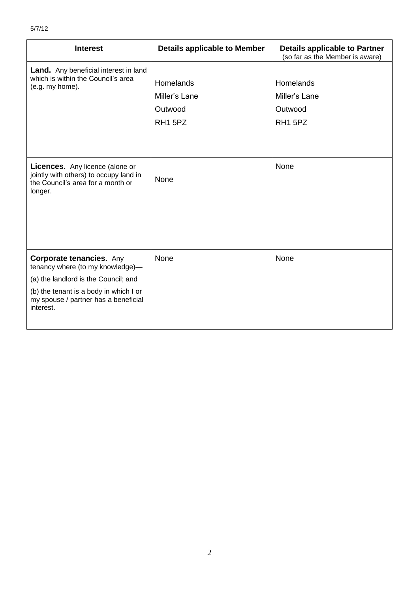| <b>Interest</b>                                                                                                                                                                                            | <b>Details applicable to Member</b>                          | <b>Details applicable to Partner</b><br>(so far as the Member is aware) |
|------------------------------------------------------------------------------------------------------------------------------------------------------------------------------------------------------------|--------------------------------------------------------------|-------------------------------------------------------------------------|
| Land. Any beneficial interest in land<br>which is within the Council's area<br>(e.g. my home).                                                                                                             | Homelands<br>Miller's Lane<br>Outwood<br>RH <sub>1</sub> 5PZ | Homelands<br>Miller's Lane<br>Outwood<br>RH1 5PZ                        |
| <b>Licences.</b> Any licence (alone or<br>jointly with others) to occupy land in<br>the Council's area for a month or<br>longer.                                                                           | None                                                         | None                                                                    |
| <b>Corporate tenancies.</b> Any<br>tenancy where (to my knowledge)-<br>(a) the landlord is the Council; and<br>(b) the tenant is a body in which I or<br>my spouse / partner has a beneficial<br>interest. | None                                                         | None                                                                    |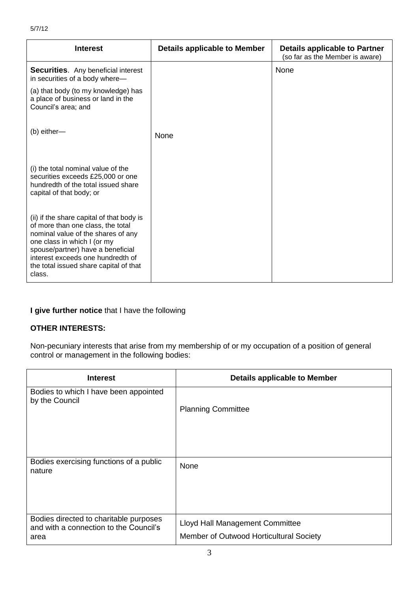| <b>Interest</b>                                                                                                                                                                                                                                                                   | <b>Details applicable to Member</b> | Details applicable to Partner<br>(so far as the Member is aware) |
|-----------------------------------------------------------------------------------------------------------------------------------------------------------------------------------------------------------------------------------------------------------------------------------|-------------------------------------|------------------------------------------------------------------|
| <b>Securities.</b> Any beneficial interest<br>in securities of a body where-                                                                                                                                                                                                      |                                     | None                                                             |
| (a) that body (to my knowledge) has<br>a place of business or land in the<br>Council's area; and                                                                                                                                                                                  |                                     |                                                                  |
| (b) either-                                                                                                                                                                                                                                                                       | None                                |                                                                  |
| (i) the total nominal value of the<br>securities exceeds £25,000 or one<br>hundredth of the total issued share<br>capital of that body; or                                                                                                                                        |                                     |                                                                  |
| (ii) if the share capital of that body is<br>of more than one class, the total<br>nominal value of the shares of any<br>one class in which I (or my<br>spouse/partner) have a beneficial<br>interest exceeds one hundredth of<br>the total issued share capital of that<br>class. |                                     |                                                                  |

## **I give further notice** that I have the following

## **OTHER INTERESTS:**

Non-pecuniary interests that arise from my membership of or my occupation of a position of general control or management in the following bodies:

| <b>Interest</b>                                                                          | Details applicable to Member                                               |
|------------------------------------------------------------------------------------------|----------------------------------------------------------------------------|
| Bodies to which I have been appointed<br>by the Council                                  | <b>Planning Committee</b>                                                  |
| Bodies exercising functions of a public<br>nature                                        | None                                                                       |
| Bodies directed to charitable purposes<br>and with a connection to the Council's<br>area | Lloyd Hall Management Committee<br>Member of Outwood Horticultural Society |